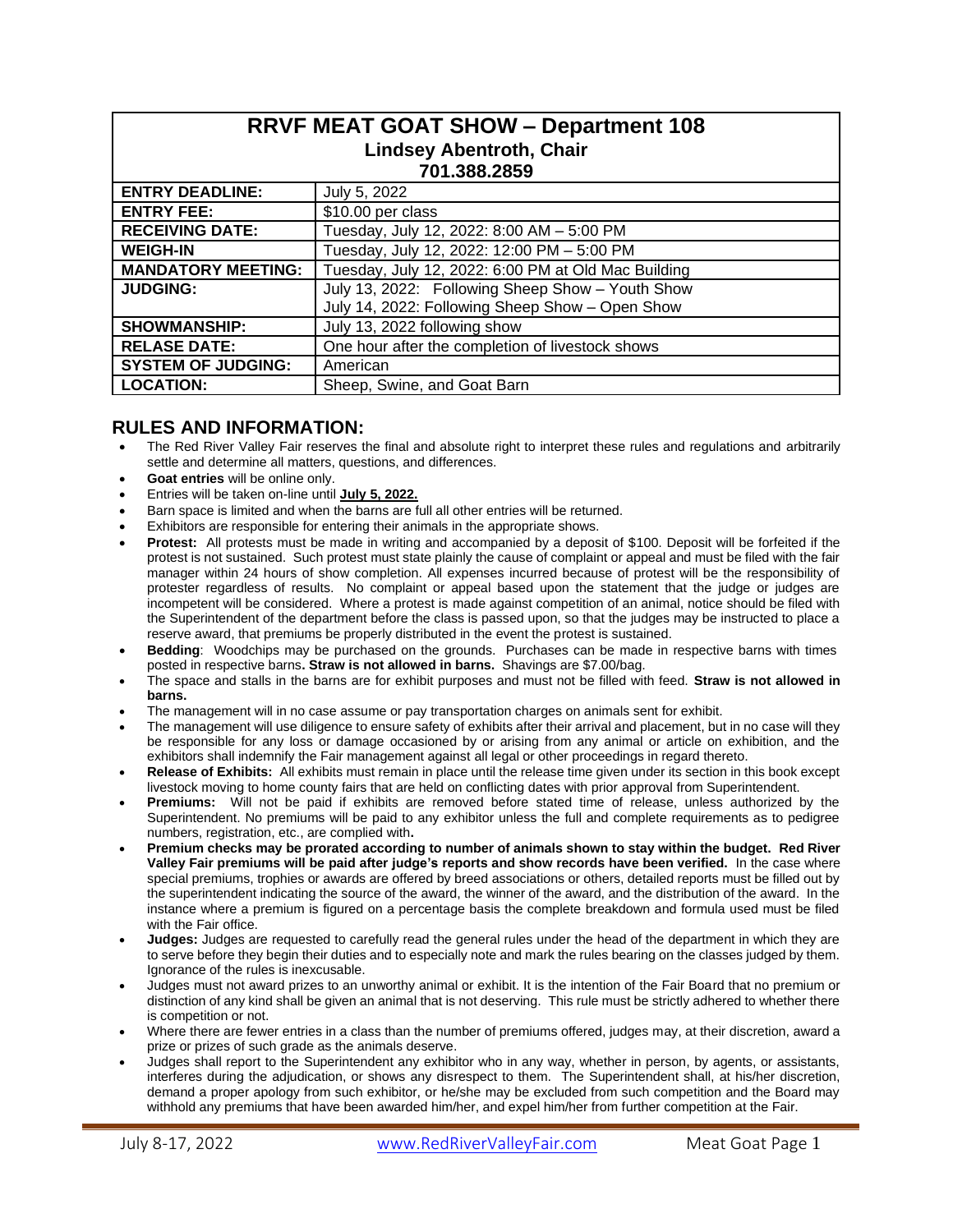| <b>RRVF MEAT GOAT SHOW - Department 108</b><br><b>Lindsey Abentroth, Chair</b><br>701.388.2859 |                                                     |  |  |  |
|------------------------------------------------------------------------------------------------|-----------------------------------------------------|--|--|--|
| <b>ENTRY DEADLINE:</b>                                                                         | July 5, 2022                                        |  |  |  |
| <b>ENTRY FEE:</b>                                                                              | \$10.00 per class                                   |  |  |  |
| <b>RECEIVING DATE:</b>                                                                         | Tuesday, July 12, 2022: 8:00 AM - 5:00 PM           |  |  |  |
| <b>WEIGH-IN</b>                                                                                | Tuesday, July 12, 2022: 12:00 PM - 5:00 PM          |  |  |  |
| <b>MANDATORY MEETING:</b>                                                                      | Tuesday, July 12, 2022: 6:00 PM at Old Mac Building |  |  |  |
| <b>JUDGING:</b>                                                                                | July 13, 2022: Following Sheep Show - Youth Show    |  |  |  |
|                                                                                                | July 14, 2022: Following Sheep Show - Open Show     |  |  |  |
| <b>SHOWMANSHIP:</b>                                                                            | July 13, 2022 following show                        |  |  |  |
| <b>RELASE DATE:</b>                                                                            | One hour after the completion of livestock shows    |  |  |  |
| <b>SYSTEM OF JUDGING:</b>                                                                      | American                                            |  |  |  |
| <b>LOCATION:</b>                                                                               | Sheep, Swine, and Goat Barn                         |  |  |  |

# **RULES AND INFORMATION:**

- The Red River Valley Fair reserves the final and absolute right to interpret these rules and regulations and arbitrarily settle and determine all matters, questions, and differences.
- **Goat entries** will be online only.
- Entries will be taken on-line until **July 5, 2022.**
- Barn space is limited and when the barns are full all other entries will be returned.
- Exhibitors are responsible for entering their animals in the appropriate shows.
- **Protest:** All protests must be made in writing and accompanied by a deposit of \$100. Deposit will be forfeited if the protest is not sustained. Such protest must state plainly the cause of complaint or appeal and must be filed with the fair manager within 24 hours of show completion. All expenses incurred because of protest will be the responsibility of protester regardless of results. No complaint or appeal based upon the statement that the judge or judges are incompetent will be considered. Where a protest is made against competition of an animal, notice should be filed with the Superintendent of the department before the class is passed upon, so that the judges may be instructed to place a reserve award, that premiums be properly distributed in the event the protest is sustained.
- **Bedding**: Woodchips may be purchased on the grounds. Purchases can be made in respective barns with times posted in respective barns**. Straw is not allowed in barns.** Shavings are \$7.00/bag.
- The space and stalls in the barns are for exhibit purposes and must not be filled with feed. **Straw is not allowed in barns.**
- The management will in no case assume or pay transportation charges on animals sent for exhibit.
- The management will use diligence to ensure safety of exhibits after their arrival and placement, but in no case will they be responsible for any loss or damage occasioned by or arising from any animal or article on exhibition, and the exhibitors shall indemnify the Fair management against all legal or other proceedings in regard thereto.
- **Release of Exhibits:** All exhibits must remain in place until the release time given under its section in this book except livestock moving to home county fairs that are held on conflicting dates with prior approval from Superintendent.
- **Premiums:** Will not be paid if exhibits are removed before stated time of release, unless authorized by the Superintendent. No premiums will be paid to any exhibitor unless the full and complete requirements as to pedigree numbers, registration, etc., are complied with**.**
- **Premium checks may be prorated according to number of animals shown to stay within the budget. Red River Valley Fair premiums will be paid after judge's reports and show records have been verified.** In the case where special premiums, trophies or awards are offered by breed associations or others, detailed reports must be filled out by the superintendent indicating the source of the award, the winner of the award, and the distribution of the award. In the instance where a premium is figured on a percentage basis the complete breakdown and formula used must be filed with the Fair office.
- **Judges:** Judges are requested to carefully read the general rules under the head of the department in which they are to serve before they begin their duties and to especially note and mark the rules bearing on the classes judged by them. Ignorance of the rules is inexcusable.
- Judges must not award prizes to an unworthy animal or exhibit. It is the intention of the Fair Board that no premium or distinction of any kind shall be given an animal that is not deserving. This rule must be strictly adhered to whether there is competition or not.
- Where there are fewer entries in a class than the number of premiums offered, judges may, at their discretion, award a prize or prizes of such grade as the animals deserve.
- Judges shall report to the Superintendent any exhibitor who in any way, whether in person, by agents, or assistants, interferes during the adjudication, or shows any disrespect to them. The Superintendent shall, at his/her discretion, demand a proper apology from such exhibitor, or he/she may be excluded from such competition and the Board may withhold any premiums that have been awarded him/her, and expel him/her from further competition at the Fair.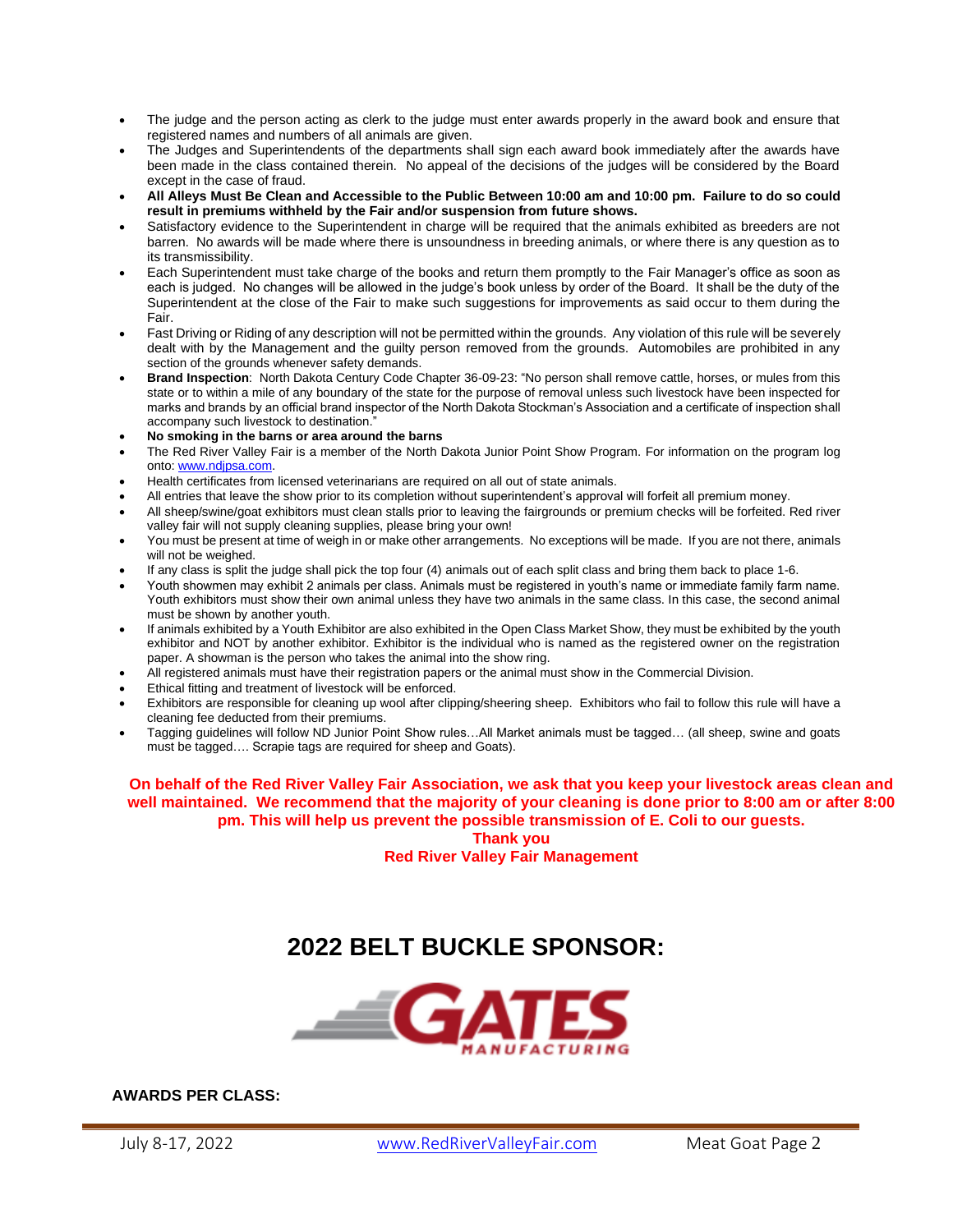- The judge and the person acting as clerk to the judge must enter awards properly in the award book and ensure that registered names and numbers of all animals are given.
- The Judges and Superintendents of the departments shall sign each award book immediately after the awards have been made in the class contained therein. No appeal of the decisions of the judges will be considered by the Board except in the case of fraud.
- **All Alleys Must Be Clean and Accessible to the Public Between 10:00 am and 10:00 pm. Failure to do so could result in premiums withheld by the Fair and/or suspension from future shows.**
- Satisfactory evidence to the Superintendent in charge will be required that the animals exhibited as breeders are not barren. No awards will be made where there is unsoundness in breeding animals, or where there is any question as to its transmissibility.
- Each Superintendent must take charge of the books and return them promptly to the Fair Manager's office as soon as each is judged. No changes will be allowed in the judge's book unless by order of the Board. It shall be the duty of the Superintendent at the close of the Fair to make such suggestions for improvements as said occur to them during the Fair.
- Fast Driving or Riding of any description will not be permitted within the grounds. Any violation of this rule will be severely dealt with by the Management and the guilty person removed from the grounds. Automobiles are prohibited in any section of the grounds whenever safety demands.
- **Brand Inspection**: North Dakota Century Code Chapter 36-09-23: "No person shall remove cattle, horses, or mules from this state or to within a mile of any boundary of the state for the purpose of removal unless such livestock have been inspected for marks and brands by an official brand inspector of the North Dakota Stockman's Association and a certificate of inspection shall accompany such livestock to destination."
- **No smoking in the barns or area around the barns**
- The Red River Valley Fair is a member of the North Dakota Junior Point Show Program. For information on the program log onto: [www.ndjpsa.com.](http://www.ndjpsa.com/)
- Health certificates from licensed veterinarians are required on all out of state animals.
- All entries that leave the show prior to its completion without superintendent's approval will forfeit all premium money.
- All sheep/swine/goat exhibitors must clean stalls prior to leaving the fairgrounds or premium checks will be forfeited. Red river valley fair will not supply cleaning supplies, please bring your own!
- You must be present at time of weigh in or make other arrangements. No exceptions will be made. If you are not there, animals will not be weighed.
- If any class is split the judge shall pick the top four (4) animals out of each split class and bring them back to place 1-6.
- Youth showmen may exhibit 2 animals per class. Animals must be registered in youth's name or immediate family farm name. Youth exhibitors must show their own animal unless they have two animals in the same class. In this case, the second animal must be shown by another youth.
- If animals exhibited by a Youth Exhibitor are also exhibited in the Open Class Market Show, they must be exhibited by the youth exhibitor and NOT by another exhibitor. Exhibitor is the individual who is named as the registered owner on the registration paper. A showman is the person who takes the animal into the show ring.
- All registered animals must have their registration papers or the animal must show in the Commercial Division.
- Ethical fitting and treatment of livestock will be enforced.
- Exhibitors are responsible for cleaning up wool after clipping/sheering sheep. Exhibitors who fail to follow this rule will have a cleaning fee deducted from their premiums.
- Tagging guidelines will follow ND Junior Point Show rules…All Market animals must be tagged… (all sheep, swine and goats must be tagged…. Scrapie tags are required for sheep and Goats).

**On behalf of the Red River Valley Fair Association, we ask that you keep your livestock areas clean and well maintained. We recommend that the majority of your cleaning is done prior to 8:00 am or after 8:00 pm. This will help us prevent the possible transmission of E. Coli to our guests.**

**Thank you**

**Red River Valley Fair Management**

# **2022 BELT BUCKLE SPONSOR:**



**AWARDS PER CLASS:**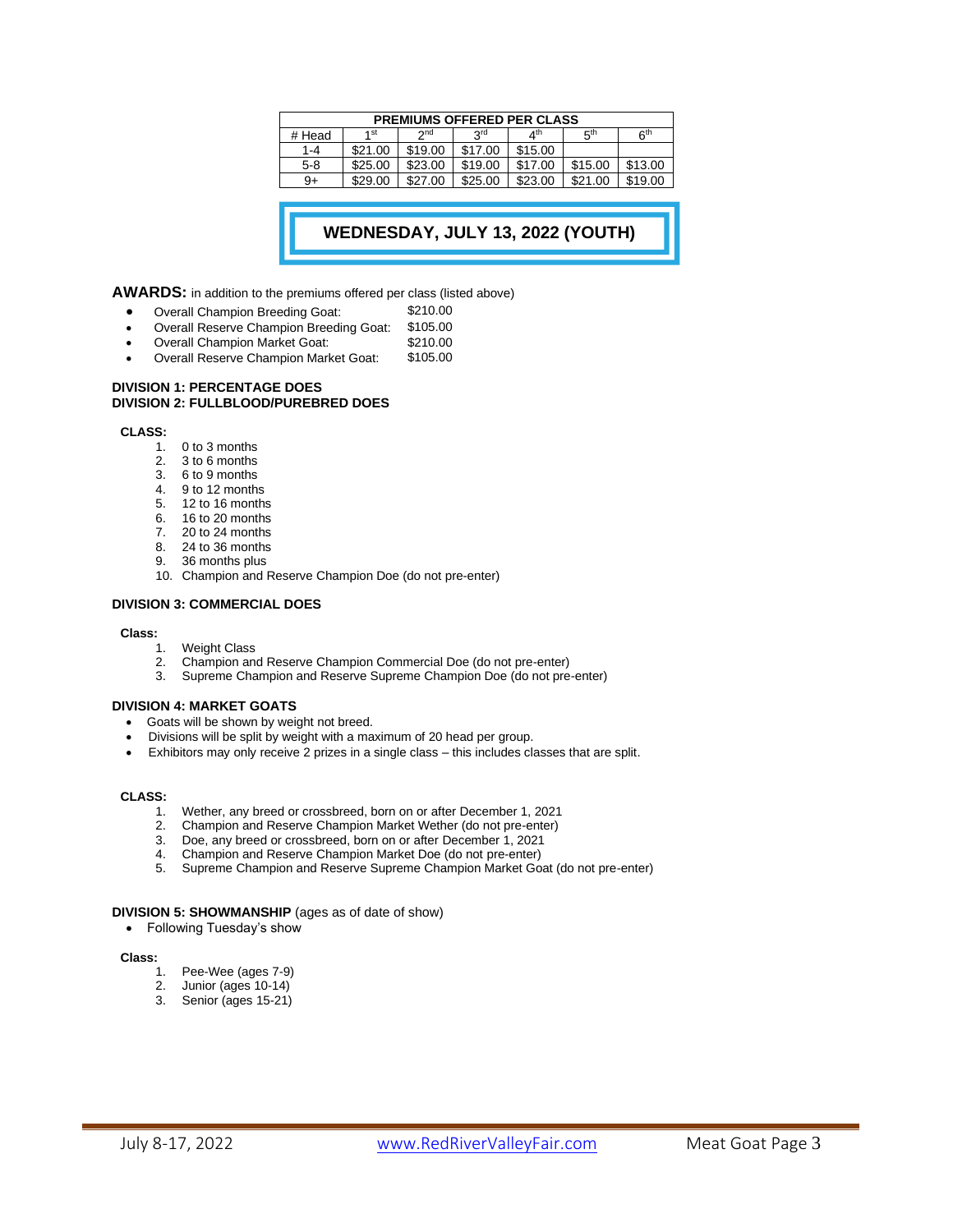| <b>PREMIUMS OFFERED PER CLASS</b> |         |         |            |                       |                 |                 |  |  |
|-----------------------------------|---------|---------|------------|-----------------------|-----------------|-----------------|--|--|
| # Head                            | 1 st    | $2n$ d  | <b>SLQ</b> | $\Lambda^{\text{th}}$ | 5 <sup>th</sup> | 6 <sup>th</sup> |  |  |
| $1 - 4$                           | \$21.00 | \$19.00 | \$17.00    | \$15.00               |                 |                 |  |  |
| 5-8                               | \$25.00 | \$23.00 | \$19.00    | \$17.00               | \$15.00         | \$13.00         |  |  |
| $9+$                              | \$29.00 | \$27.00 | \$25.00    | \$23.00               | \$21.00         | \$19.00         |  |  |

## **WEDNESDAY, JULY 13, 2022 (YOUTH) SHOW)**

**AWARDS:** in addition to the premiums offered per class (listed above)

- 
- Overall Champion Breeding Goat: \$210.00
- Overall Reserve Champion Breeding Goat: \$105.00
- Overall Champion Market Goat: \$210.00<br>• Overall Reserve Champion Market Goat: \$105.00 Overall Reserve Champion Market Goat:

#### **DIVISION 1: PERCENTAGE DOES DIVISION 2: FULLBLOOD/PUREBRED DOES**

#### **CLASS:**

- 1. 0 to 3 months
- 2. 3 to 6 months
- 3. 6 to 9 months
- 4. 9 to 12 months
- 5. 12 to 16 months
- 6. 16 to 20 months
- 7. 20 to 24 months
- 8. 24 to 36 months
- 9. 36 months plus
- 10. Champion and Reserve Champion Doe (do not pre-enter)

#### **DIVISION 3: COMMERCIAL DOES**

#### **Class:**

- 1. Weight Class
- 2. Champion and Reserve Champion Commercial Doe (do not pre-enter)
- 3. Supreme Champion and Reserve Supreme Champion Doe (do not pre-enter)

#### **DIVISION 4: MARKET GOATS**

- Goats will be shown by weight not breed.
- Divisions will be split by weight with a maximum of 20 head per group.
- Exhibitors may only receive 2 prizes in a single class this includes classes that are split.

#### **CLASS:**

- 1. Wether, any breed or crossbreed, born on or after December 1, 2021
- 2. Champion and Reserve Champion Market Wether (do not pre-enter)
- 3. Doe, any breed or crossbreed, born on or after December 1, 2021
- 4. Champion and Reserve Champion Market Doe (do not pre-enter)<br>5. Supreme Champion and Reserve Supreme Champion Market Go
- 5. Supreme Champion and Reserve Supreme Champion Market Goat (do not pre-enter)

#### **DIVISION 5: SHOWMANSHIP** (ages as of date of show)

• Following Tuesday's show

#### **Class:**

- 1. Pee-Wee (ages 7-9)
- 2. Junior (ages 10-14)<br>3. Senior (ages 15-21)
- Senior (ages 15-21)